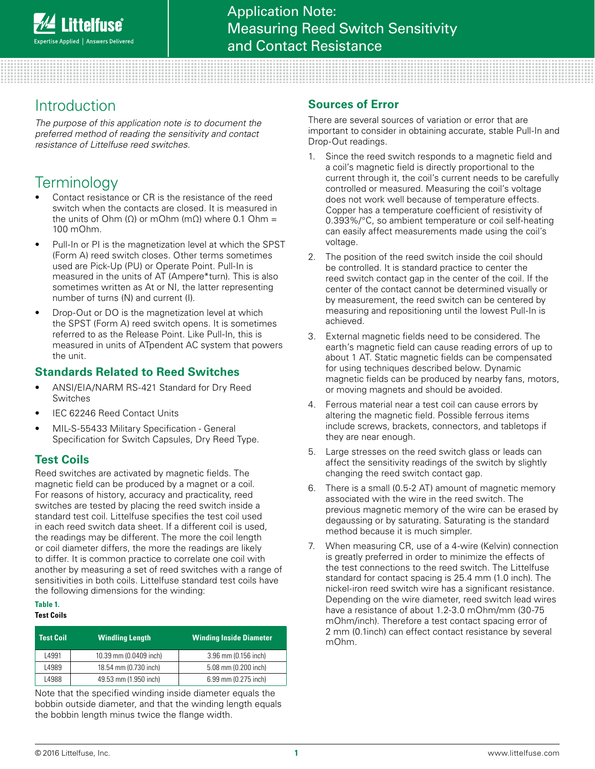# Introduction

*The purpose of this application note is to document the preferred method of reading the sensitivity and contact resistance of Littelfuse reed switches.*

# **Terminology**

- Contact resistance or CR is the resistance of the reed switch when the contacts are closed. It is measured in the units of Ohm ( $Ω$ ) or mOhm ( $mΩ$ ) where 0.1 Ohm = 100 mOhm.
- Pull-In or PI is the magnetization level at which the SPST (Form A) reed switch closes. Other terms sometimes used are Pick-Up (PU) or Operate Point. Pull-In is measured in the units of AT (Ampere\*turn). This is also sometimes written as At or NI, the latter representing number of turns (N) and current (I).
- Drop-Out or DO is the magnetization level at which the SPST (Form A) reed switch opens. It is sometimes referred to as the Release Point. Like Pull-In, this is measured in units of ATpendent AC system that powers the unit.

### **Standards Related to Reed Switches**

- ANSI/EIA/NARM RS-421 Standard for Dry Reed Switches
- IEC 62246 Reed Contact Units
- MIL-S-55433 Military Specification General Specification for Switch Capsules, Dry Reed Type.

### **Test Coils**

Reed switches are activated by magnetic fields. The magnetic field can be produced by a magnet or a coil. For reasons of history, accuracy and practicality, reed switches are tested by placing the reed switch inside a standard test coil. Littelfuse specifies the test coil used in each reed switch data sheet. If a different coil is used, the readings may be different. The more the coil length or coil diameter differs, the more the readings are likely to differ. It is common practice to correlate one coil with another by measuring a set of reed switches with a range of sensitivities in both coils. Littelfuse standard test coils have the following dimensions for the winding:

## **Table 1.**

| <b>Test Coil</b> ' | <b>Windling Length</b> | <b>Winding Inside Diameter</b> |
|--------------------|------------------------|--------------------------------|
| 4991               | 10.39 mm (0.0409 inch) | 3.96 mm (0.156 inch)           |
| L4989              | 18.54 mm (0.730 inch)  | 5.08 mm (0.200 inch)           |
| L4988              | 49.53 mm (1.950 inch)  | 6.99 mm (0.275 inch)           |

Note that the specified winding inside diameter equals the bobbin outside diameter, and that the winding length equals the bobbin length minus twice the flange width.

#### **Sources of Error**

There are several sources of variation or error that are important to consider in obtaining accurate, stable Pull-In and Drop-Out readings.

- 1. Since the reed switch responds to a magnetic field and a coil's magnetic field is directly proportional to the current through it, the coil's current needs to be carefully controlled or measured. Measuring the coil's voltage does not work well because of temperature effects. Copper has a temperature coefficient of resistivity of 0.393%/°C, so ambient temperature or coil self-heating can easily affect measurements made using the coil's voltage.
- 2. The position of the reed switch inside the coil should be controlled. It is standard practice to center the reed switch contact gap in the center of the coil. If the center of the contact cannot be determined visually or by measurement, the reed switch can be centered by measuring and repositioning until the lowest Pull-In is achieved.
- 3. External magnetic fields need to be considered. The earth's magnetic field can cause reading errors of up to about 1 AT. Static magnetic fields can be compensated for using techniques described below. Dynamic magnetic fields can be produced by nearby fans, motors, or moving magnets and should be avoided.
- 4. Ferrous material near a test coil can cause errors by altering the magnetic field. Possible ferrous items include screws, brackets, connectors, and tabletops if they are near enough.
- 5. Large stresses on the reed switch glass or leads can affect the sensitivity readings of the switch by slightly changing the reed switch contact gap.
- 6. There is a small (0.5-2 AT) amount of magnetic memory associated with the wire in the reed switch. The previous magnetic memory of the wire can be erased by degaussing or by saturating. Saturating is the standard method because it is much simpler.
- When measuring CR, use of a 4-wire (Kelvin) connection is greatly preferred in order to minimize the effects of the test connections to the reed switch. The Littelfuse standard for contact spacing is 25.4 mm (1.0 inch). The nickel-iron reed switch wire has a significant resistance. Depending on the wire diameter, reed switch lead wires have a resistance of about 1.2-3.0 mOhm/mm (30-75 mOhm/inch). Therefore a test contact spacing error of 2 mm (0.1inch) can effect contact resistance by several mOhm.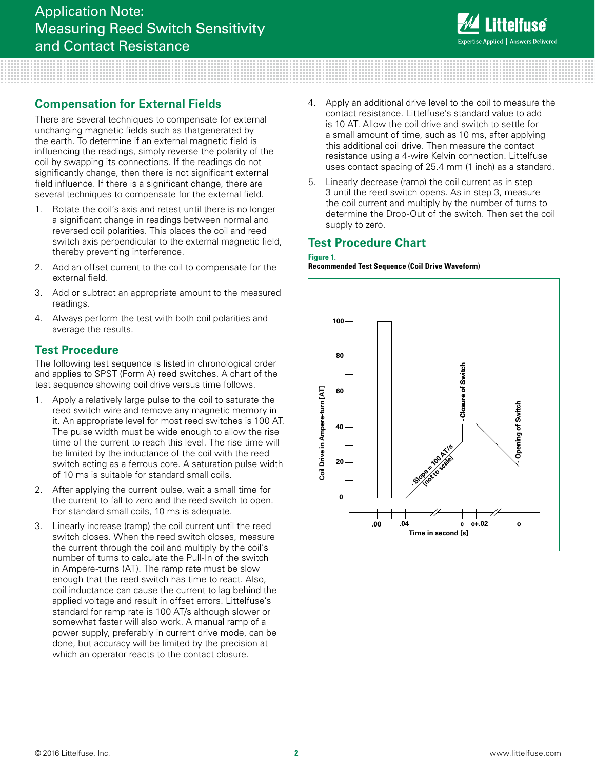

#### **Compensation for External Fields**

There are several techniques to compensate for external unchanging magnetic fields such as thatgenerated by the earth. To determine if an external magnetic field is influencing the readings, simply reverse the polarity of the coil by swapping its connections. If the readings do not significantly change, then there is not significant external field influence. If there is a significant change, there are several techniques to compensate for the external field.

- 1. Rotate the coil's axis and retest until there is no longer a significant change in readings between normal and reversed coil polarities. This places the coil and reed switch axis perpendicular to the external magnetic field, thereby preventing interference.
- 2. Add an offset current to the coil to compensate for the external field.
- 3. Add or subtract an appropriate amount to the measured readings.
- 4. Always perform the test with both coil polarities and average the results.

#### **Test Procedure**

The following test sequence is listed in chronological order and applies to SPST (Form A) reed switches. A chart of the test sequence showing coil drive versus time follows.

- 1. Apply a relatively large pulse to the coil to saturate the reed switch wire and remove any magnetic memory in it. An appropriate level for most reed switches is 100 AT. The pulse width must be wide enough to allow the rise time of the current to reach this level. The rise time will be limited by the inductance of the coil with the reed switch acting as a ferrous core. A saturation pulse width of 10 ms is suitable for standard small coils.
- 2. After applying the current pulse, wait a small time for the current to fall to zero and the reed switch to open. For standard small coils, 10 ms is adequate.
- 3. Linearly increase (ramp) the coil current until the reed switch closes. When the reed switch closes, measure the current through the coil and multiply by the coil's number of turns to calculate the Pull-In of the switch in Ampere-turns (AT). The ramp rate must be slow enough that the reed switch has time to react. Also, coil inductance can cause the current to lag behind the applied voltage and result in offset errors. Littelfuse's standard for ramp rate is 100 AT/s although slower or somewhat faster will also work. A manual ramp of a power supply, preferably in current drive mode, can be done, but accuracy will be limited by the precision at which an operator reacts to the contact closure.
- Apply an additional drive level to the coil to measure the contact resistance. Littelfuse's standard value to add is 10 AT. Allow the coil drive and switch to settle for a small amount of time, such as 10 ms, after applying this additional coil drive. Then measure the contact resistance using a 4-wire Kelvin connection. Littelfuse uses contact spacing of 25.4 mm (1 inch) as a standard.
- 5. Linearly decrease (ramp) the coil current as in step 3 until the reed switch opens. As in step 3, measure the coil current and multiply by the number of turns to determine the Drop-Out of the switch. Then set the coil supply to zero.

#### **Test Procedure Chart**

#### **Figure 1.**

**Recommended Test Sequence (Coil Drive Waveform)**